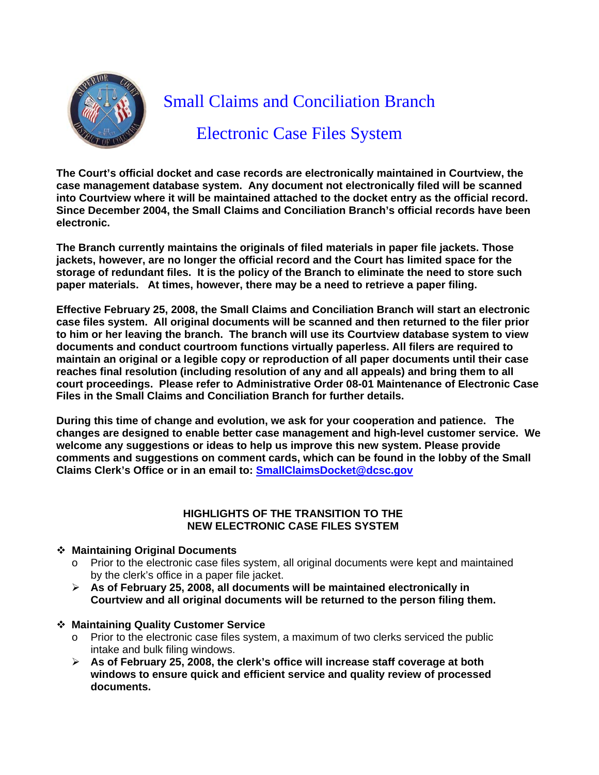

# Small Claims and Conciliation Branch

Electronic Case Files System

**The Court's official docket and case records are electronically maintained in Courtview, the case management database system. Any document not electronically filed will be scanned into Courtview where it will be maintained attached to the docket entry as the official record. Since December 2004, the Small Claims and Conciliation Branch's official records have been electronic.** 

**The Branch currently maintains the originals of filed materials in paper file jackets. Those jackets, however, are no longer the official record and the Court has limited space for the storage of redundant files. It is the policy of the Branch to eliminate the need to store such paper materials. At times, however, there may be a need to retrieve a paper filing.** 

**Effective February 25, 2008, the Small Claims and Conciliation Branch will start an electronic case files system. All original documents will be scanned and then returned to the filer prior to him or her leaving the branch. The branch will use its Courtview database system to view documents and conduct courtroom functions virtually paperless. All filers are required to maintain an original or a legible copy or reproduction of all paper documents until their case reaches final resolution (including resolution of any and all appeals) and bring them to all court proceedings. Please refer to Administrative Order 08-01 Maintenance of Electronic Case Files in the Small Claims and Conciliation Branch for further details.** 

**During this time of change and evolution, we ask for your cooperation and patience. The changes are designed to enable better case management and high-level customer service. We welcome any suggestions or ideas to help us improve this new system. Please provide comments and suggestions on comment cards, which can be found in the lobby of the Small Claims Clerk's Office or in an email to: SmallClaimsDocket@dcsc.gov**

### **HIGHLIGHTS OF THE TRANSITION TO THE NEW ELECTRONIC CASE FILES SYSTEM**

### **Maintaining Original Documents**

- $\circ$  Prior to the electronic case files system, all original documents were kept and maintained by the clerk's office in a paper file jacket.
- ¾ **As of February 25, 2008, all documents will be maintained electronically in Courtview and all original documents will be returned to the person filing them.**
- **Maintaining Quality Customer Service** 
	- $\circ$  Prior to the electronic case files system, a maximum of two clerks serviced the public intake and bulk filing windows.
	- ¾ **As of February 25, 2008, the clerk's office will increase staff coverage at both windows to ensure quick and efficient service and quality review of processed documents.**